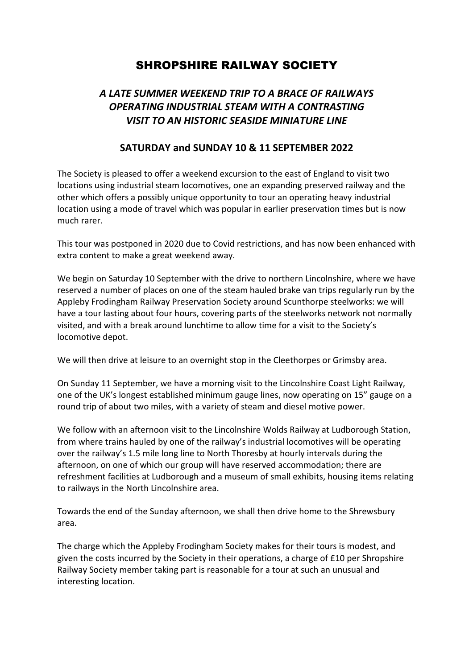# SHROPSHIRE RAILWAY SOCIETY

## *A LATE SUMMER WEEKEND TRIP TO A BRACE OF RAILWAYS OPERATING INDUSTRIAL STEAM WITH A CONTRASTING VISIT TO AN HISTORIC SEASIDE MINIATURE LINE*

## **SATURDAY and SUNDAY 10 & 11 SEPTEMBER 2022**

The Society is pleased to offer a weekend excursion to the east of England to visit two locations using industrial steam locomotives, one an expanding preserved railway and the other which offers a possibly unique opportunity to tour an operating heavy industrial location using a mode of travel which was popular in earlier preservation times but is now much rarer.

This tour was postponed in 2020 due to Covid restrictions, and has now been enhanced with extra content to make a great weekend away.

We begin on Saturday 10 September with the drive to northern Lincolnshire, where we have reserved a number of places on one of the steam hauled brake van trips regularly run by the Appleby Frodingham Railway Preservation Society around Scunthorpe steelworks: we will have a tour lasting about four hours, covering parts of the steelworks network not normally visited, and with a break around lunchtime to allow time for a visit to the Society's locomotive depot.

We will then drive at leisure to an overnight stop in the Cleethorpes or Grimsby area.

On Sunday 11 September, we have a morning visit to the Lincolnshire Coast Light Railway, one of the UK's longest established minimum gauge lines, now operating on 15" gauge on a round trip of about two miles, with a variety of steam and diesel motive power.

We follow with an afternoon visit to the Lincolnshire Wolds Railway at Ludborough Station, from where trains hauled by one of the railway's industrial locomotives will be operating over the railway's 1.5 mile long line to North Thoresby at hourly intervals during the afternoon, on one of which our group will have reserved accommodation; there are refreshment facilities at Ludborough and a museum of small exhibits, housing items relating to railways in the North Lincolnshire area.

Towards the end of the Sunday afternoon, we shall then drive home to the Shrewsbury area.

The charge which the Appleby Frodingham Society makes for their tours is modest, and given the costs incurred by the Society in their operations, a charge of £10 per Shropshire Railway Society member taking part is reasonable for a tour at such an unusual and interesting location.